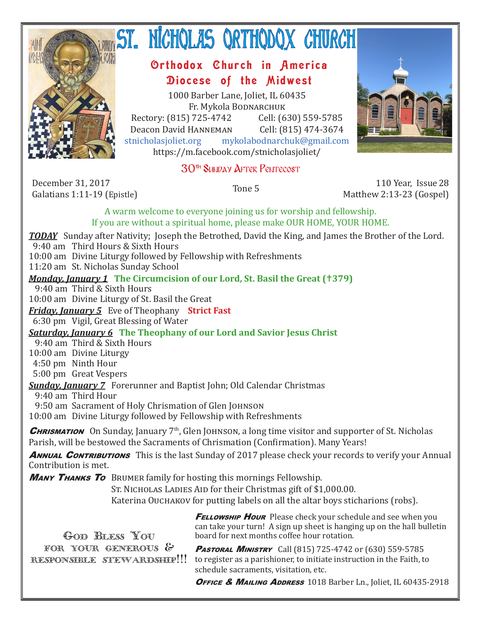

# ST. NICHQLAS QRTHQDQX CHURCH

## Orthodox Church in America Diocese of the Midwest

1000 Barber Lane, Joliet, IL 60435 Fr. Mykola Bodnarchuk Rectory: (815) 725-4742 Cell: (630) 559-5785<br>Deacon David HANNEMAN Cell: (815) 474-3674

Deacon David Hanneman<br>stnicholasioliet.org mvk mykolabodnarchuk@gmail.com https://m.facebook.com/stnicholasjoliet/

## 30th Sunday After Pentecost

December 31, 2017<br>Galatians 1:11-19 (Epistle)

Galatians 1:11-19 (Epistle) Tone 5 110 Year, Issue 28 Matthew 2:13-23 (Gospel)

A warm welcome to everyone joining us for worship and fellowship. If you are without a spiritual home, please make OUR HOME, YOUR HOME.

*TODAY* Sunday after Nativity; Joseph the Betrothed, David the King, and James the Brother of the Lord. 9:40 am Third Hours & Sixth Hours

10:00 am Divine Liturgy followed by Fellowship with Refreshments

11:20 am St. Nicholas Sunday School

#### *Monday, January 1* **The Circumcision of our Lord, St. Basil the Great (379)**

9:40 am Third & Sixth Hours

10:00 am Divine Liturgy of St. Basil the Great

*Friday, January 5* Eve of Theophany **Strict Fast**

6:30 pm Vigil, Great Blessing of Water

## *Saturday, January 6* **The Theophany of our Lord and Savior Jesus Christ**

9:40 am Third & Sixth Hours

10:00 am Divine Liturgy

4:50 pm Ninth Hour

5:00 pm Great Vespers

*Sunday, January 7* Forerunner and Baptist John; Old Calendar Christmas

9:40 am Third Hour

9:50 am Sacrament of Holy Chrismation of Glen JOHNSON

10:00 am Divine Liturgy followed by Fellowship with Refreshments

**CHRISMATION** On Sunday, January  $7<sup>th</sup>$ , Glen JOHNSON, a long time visitor and supporter of St. Nicholas Parish, will be bestowed the Sacraments of Chrismation (Confirmation). Many Years!

**ANNUAL CONTRIBUTIONS** This is the last Sunday of 2017 please check your records to verify your Annual Contribution is met.

**MANY THANKS TO** BRUMER family for hosting this mornings Fellowship.

ST. NICHOLAS LADIES AID for their Christmas gift of \$1,000.00.

Katerina Ouchakov for putting labels on all the altar boys sticharions (robs).

Offerings \$1,999.00 GOD BLESS YOU for your generous & *Total \$2,188.50* responsible stewardship!!!*Monthly Budget \$5,820.00*

**FELLOWSHIP HOUR** Please check your schedule and see when you can take your turn! A sign up sheet is hanging up on the hall bulletin board for next months coffee hour rotation.

PASTORAL MINISTRY Call (815) 725-4742 or (630) 559-5785 to register as a parishioner, to initiate instruction in the Faith, to schedule sacraments, visitation, etc.

OFFICE & MAILING ADDRESS 1018 Barber Ln., Joliet, IL 60435-2918